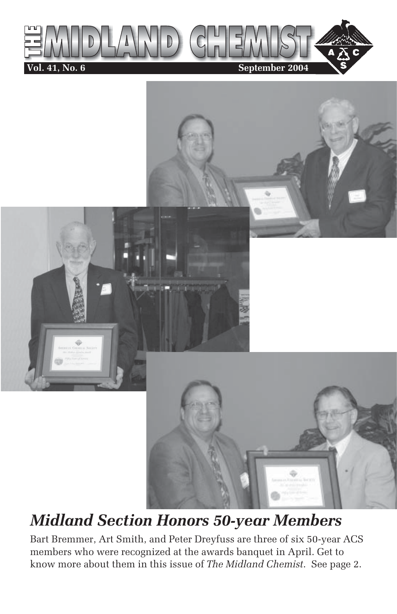



## *Midland Section Honors 50-year Members*

Bart Bremmer, Art Smith, and Peter Dreyfuss are three of six 50-year ACS members who were recognized at the awards banquet in April. Get to know more about them in this issue of *The Midland Chemist*. See page 2.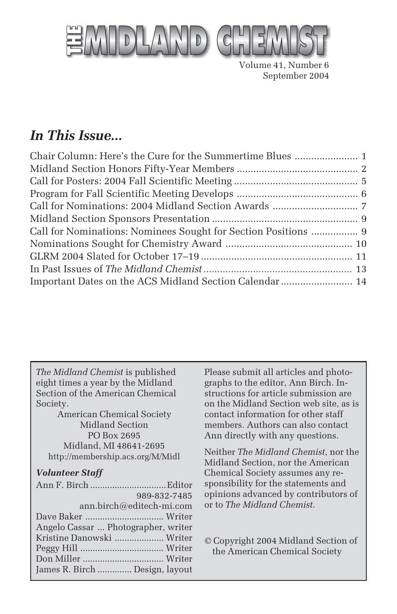

Volume 41, Number 6 September 2004

### *In This Issue...*

| Call for Nominations: Nominees Sought for Section Positions  9 |  |
|----------------------------------------------------------------|--|
|                                                                |  |
|                                                                |  |
|                                                                |  |
| Important Dates on the ACS Midland Section Calendar  14        |  |

*The Midland Chemist* is published eight times a year by the Midland Section of the American Chemical Society.

American Chemical Society Midland Section PO Box 2695 Midland, MI 48641-2695 http://membership.acs.org/M/Midl

#### *Volunteer Staff*

| 989-832-7485                        |  |
|-------------------------------------|--|
| ann.birch@editech-mi.com            |  |
|                                     |  |
| Angelo Cassar  Photographer, writer |  |
| Kristine Danowski  Writer           |  |
|                                     |  |
|                                     |  |
| James R. Birch  Design, layout      |  |

Please submit all articles and photographs to the editor, Ann Birch. Instructions for article submission are on the Midland Section web site, as is contact information for other staff members. Authors can also contact Ann directly with any questions.

Neither *The Midland Chemist*, nor the Midland Section, nor the American Chemical Society assumes any responsibility for the statements and opinions advanced by contributors of or to *The Midland Chemist*.

© Copyright 2004 Midland Section of the American Chemical Society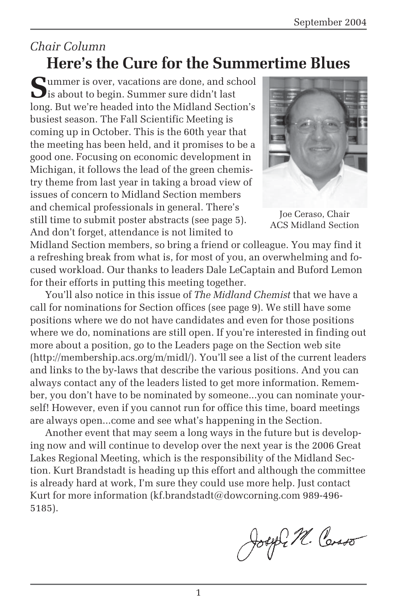### *Chair Column* **Here's the Cure for the Summertime Blues**

**S**ummer is over, vacations are done, and school  $\bigcup$  is about to begin. Summer sure didn't last long. But we're headed into the Midland Section's busiest season. The Fall Scientific Meeting is coming up in October. This is the 60th year that the meeting has been held, and it promises to be a good one. Focusing on economic development in Michigan, it follows the lead of the green chemistry theme from last year in taking a broad view of issues of concern to Midland Section members and chemical professionals in general. There's still time to submit poster abstracts (see page 5). And don't forget, attendance is not limited to



Joe Ceraso, Chair ACS Midland Section

Midland Section members, so bring a friend or colleague. You may find it a refreshing break from what is, for most of you, an overwhelming and focused workload. Our thanks to leaders Dale LeCaptain and Buford Lemon for their efforts in putting this meeting together.

You'll also notice in this issue of *The Midland Chemist* that we have a call for nominations for Section offices (see page 9). We still have some positions where we do not have candidates and even for those positions where we do, nominations are still open. If you're interested in finding out more about a position, go to the Leaders page on the Section web site (http://membership.acs.org/m/midl/). You'll see a list of the current leaders and links to the by-laws that describe the various positions. And you can always contact any of the leaders listed to get more information. Remember, you don't have to be nominated by someone...you can nominate yourself! However, even if you cannot run for office this time, board meetings are always open...come and see what's happening in the Section.

Another event that may seem a long ways in the future but is developing now and will continue to develop over the next year is the 2006 Great Lakes Regional Meeting, which is the responsibility of the Midland Section. Kurt Brandstadt is heading up this effort and although the committee is already hard at work, I'm sure they could use more help. Just contact Kurt for more information (kf.brandstadt@dowcorning.com 989-496- 5185).

Joseph M. Corso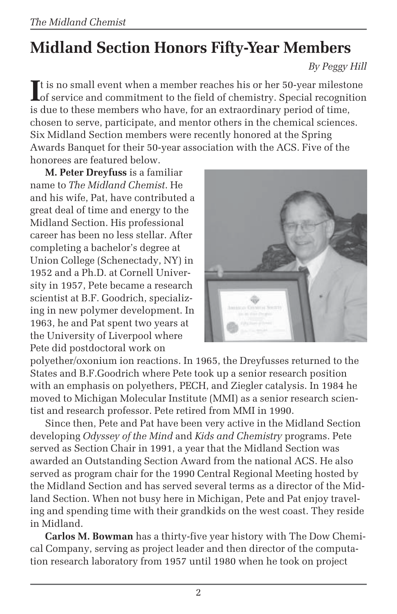# **Midland Section Honors Fifty-Year Members**

*By Peggy Hill*

It is no small event when a member reaches his or her 50-year milestone<br>
of service and commitment to the field of chemistry. Special recognition Lof service and commitment to the field of chemistry. Special recognition is due to these members who have, for an extraordinary period of time, chosen to serve, participate, and mentor others in the chemical sciences. Six Midland Section members were recently honored at the Spring Awards Banquet for their 50-year association with the ACS. Five of the honorees are featured below.

**M. Peter Dreyfuss** is a familiar name to *The Midland Chemist*. He and his wife, Pat, have contributed a great deal of time and energy to the Midland Section. His professional career has been no less stellar. After completing a bachelor's degree at Union College (Schenectady, NY) in 1952 and a Ph.D. at Cornell University in 1957, Pete became a research scientist at B.F. Goodrich, specializing in new polymer development. In 1963, he and Pat spent two years at the University of Liverpool where Pete did postdoctoral work on



polyether/oxonium ion reactions. In 1965, the Dreyfusses returned to the States and B.F.Goodrich where Pete took up a senior research position with an emphasis on polyethers, PECH, and Ziegler catalysis. In 1984 he moved to Michigan Molecular Institute (MMI) as a senior research scientist and research professor. Pete retired from MMI in 1990.

Since then, Pete and Pat have been very active in the Midland Section developing *Odyssey of the Mind* and *Kids and Chemistry* programs. Pete served as Section Chair in 1991, a year that the Midland Section was awarded an Outstanding Section Award from the national ACS. He also served as program chair for the 1990 Central Regional Meeting hosted by the Midland Section and has served several terms as a director of the Midland Section. When not busy here in Michigan, Pete and Pat enjoy traveling and spending time with their grandkids on the west coast. They reside in Midland.

**Carlos M. Bowman** has a thirty-five year history with The Dow Chemical Company, serving as project leader and then director of the computation research laboratory from 1957 until 1980 when he took on project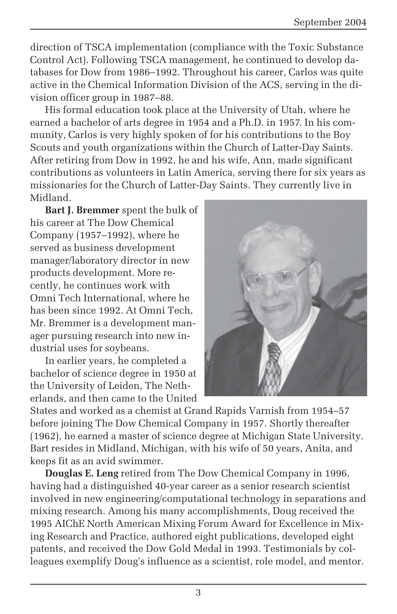direction of TSCA implementation (compliance with the Toxic Substance Control Act). Following TSCA management, he continued to develop databases for Dow from 1986–1992. Throughout his career, Carlos was quite active in the Chemical Information Division of the ACS, serving in the division officer group in 1987–88.

His formal education took place at the University of Utah, where he earned a bachelor of arts degree in 1954 and a Ph.D. in 1957. In his community, Carlos is very highly spoken of for his contributions to the Boy Scouts and youth organizations within the Church of Latter-Day Saints. After retiring from Dow in 1992, he and his wife, Ann, made significant contributions as volunteers in Latin America, serving there for six years as missionaries for the Church of Latter-Day Saints. They currently live in Midland.

**Bart J. Bremmer** spent the bulk of his career at The Dow Chemical Company (1957–1992), where he served as business development manager/laboratory director in new products development. More recently, he continues work with Omni Tech International, where he has been since 1992. At Omni Tech, Mr. Bremmer is a development manager pursuing research into new industrial uses for soybeans.

In earlier years, he completed a bachelor of science degree in 1950 at the University of Leiden, The Netherlands, and then came to the United



States and worked as a chemist at Grand Rapids Varnish from 1954–57 before joining The Dow Chemical Company in 1957. Shortly thereafter (1962), he earned a master of science degree at Michigan State University. Bart resides in Midland, Michigan, with his wife of 50 years, Anita, and keeps fit as an avid swimmer.

**Douglas E. Leng** retired from The Dow Chemical Company in 1996, having had a distinguished 40-year career as a senior research scientist involved in new engineering/computational technology in separations and mixing research. Among his many accomplishments, Doug received the 1995 AIChE North American Mixing Forum Award for Excellence in Mixing Research and Practice, authored eight publications, developed eight patents, and received the Dow Gold Medal in 1993. Testimonials by colleagues exemplify Doug's influence as a scientist, role model, and mentor.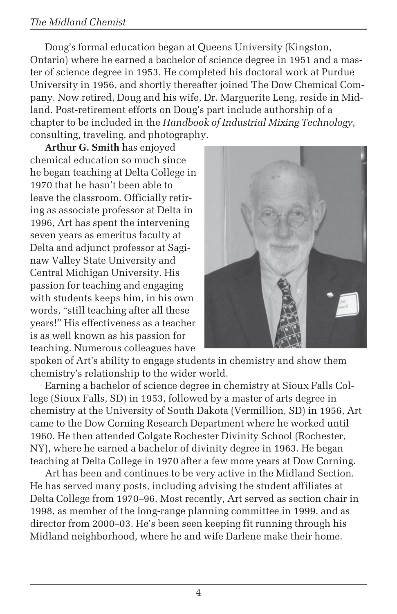#### *The Midland Chemist*

Doug's formal education began at Queens University (Kingston, Ontario) where he earned a bachelor of science degree in 1951 and a master of science degree in 1953. He completed his doctoral work at Purdue University in 1956, and shortly thereafter joined The Dow Chemical Company. Now retired, Doug and his wife, Dr. Marguerite Leng, reside in Midland. Post-retirement efforts on Doug's part include authorship of a chapter to be included in the *Handbook of Industrial Mixing Technology*, consulting, traveling, and photography.

**Arthur G. Smith** has enjoyed chemical education so much since he began teaching at Delta College in 1970 that he hasn't been able to leave the classroom. Officially retiring as associate professor at Delta in 1996, Art has spent the intervening seven years as emeritus faculty at Delta and adjunct professor at Saginaw Valley State University and Central Michigan University. His passion for teaching and engaging with students keeps him, in his own words, "still teaching after all these years!" His effectiveness as a teacher is as well known as his passion for teaching. Numerous colleagues have



spoken of Art's ability to engage students in chemistry and show them chemistry's relationship to the wider world.

Earning a bachelor of science degree in chemistry at Sioux Falls College (Sioux Falls, SD) in 1953, followed by a master of arts degree in chemistry at the University of South Dakota (Vermillion, SD) in 1956, Art came to the Dow Corning Research Department where he worked until 1960. He then attended Colgate Rochester Divinity School (Rochester, NY), where he earned a bachelor of divinity degree in 1963. He began teaching at Delta College in 1970 after a few more years at Dow Corning.

Art has been and continues to be very active in the Midland Section. He has served many posts, including advising the student affiliates at Delta College from 1970–96. Most recently, Art served as section chair in 1998, as member of the long-range planning committee in 1999, and as director from 2000–03. He's been seen keeping fit running through his Midland neighborhood, where he and wife Darlene make their home.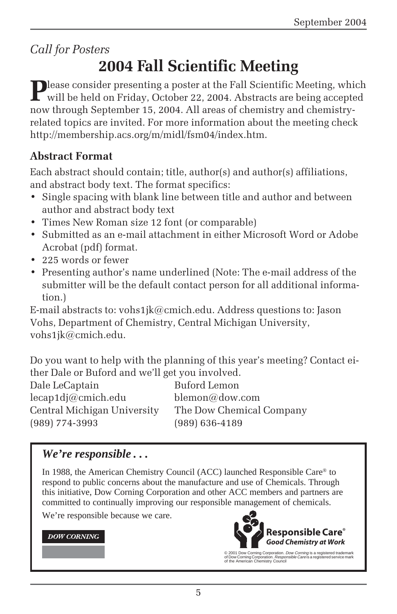*Call for Posters*

# **2004 Fall Scientific Meeting**

**Please consider presenting a poster at the Fall Scientific Meeting, which** will be held on Friday, October 22, 2004. Abstracts are being accepted now through September 15, 2004. All areas of chemistry and chemistryrelated topics are invited. For more information about the meeting check http://membership.acs.org/m/midl/fsm04/index.htm.

### **Abstract Format**

Each abstract should contain; title, author(s) and author(s) affiliations, and abstract body text. The format specifics:

- Single spacing with blank line between title and author and between author and abstract body text
- Times New Roman size 12 font (or comparable)
- Submitted as an e-mail attachment in either Microsoft Word or Adobe Acrobat (pdf) format.
- 225 words or fewer
- Presenting author's name underlined (Note: The e-mail address of the submitter will be the default contact person for all additional information.)

E-mail abstracts to: vohs1jk@cmich.edu. Address questions to: Jason Vohs, Department of Chemistry, Central Michigan University, vohs1jk@cmich.edu.

Do you want to help with the planning of this year's meeting? Contact either Dale or Buford and we'll get you involved.

Dale LeCaptain Buford Lemon lecap1dj@cmich.edu blemon@dow.com Central Michigan University The Dow Chemical Company (989) 774-3993 (989) 636-4189

### *We're responsible . . .*

In 1988, the American Chemistry Council (ACC) launched Responsible Care® to respond to public concerns about the manufacture and use of Chemicals. Through this initiative, Dow Corning Corporation and other ACC members and partners are committed to continually improving our responsible management of chemicals.

We're responsible because we care.

#### **DOW CORNING**



© 2001 Dow Corning Corporation. *Dow Corning* is a registered trademark<br>of Dow Corning Corporation. *Responsible Care* is a registered service mark<br>of the American Chemistry Council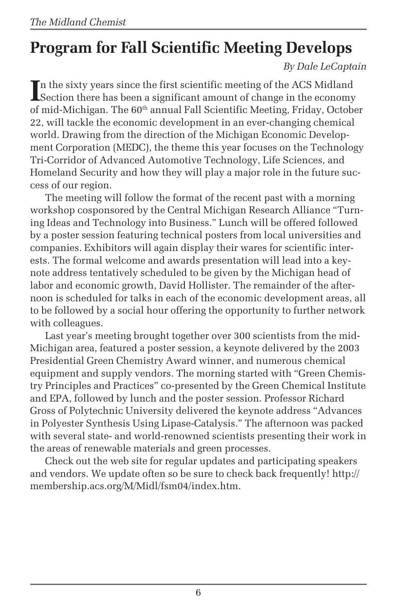# **Program for Fall Scientific Meeting Develops**

*By Dale LeCaptain*

In the sixty years since the first scientific meeting of the ACS Midland<br>Section there has been a significant amount of change in the economy Section there has been a significant amount of change in the economy of mid-Michigan. The  $60<sup>th</sup>$  annual Fall Scientific Meeting, Friday, October 22, will tackle the economic development in an ever-changing chemical world. Drawing from the direction of the Michigan Economic Development Corporation (MEDC), the theme this year focuses on the Technology Tri-Corridor of Advanced Automotive Technology, Life Sciences, and Homeland Security and how they will play a major role in the future success of our region.

The meeting will follow the format of the recent past with a morning workshop cosponsored by the Central Michigan Research Alliance "Turning Ideas and Technology into Business." Lunch will be offered followed by a poster session featuring technical posters from local universities and companies. Exhibitors will again display their wares for scientific interests. The formal welcome and awards presentation will lead into a keynote address tentatively scheduled to be given by the Michigan head of labor and economic growth, David Hollister. The remainder of the afternoon is scheduled for talks in each of the economic development areas, all to be followed by a social hour offering the opportunity to further network with colleagues.

Last year's meeting brought together over 300 scientists from the mid-Michigan area, featured a poster session, a keynote delivered by the 2003 Presidential Green Chemistry Award winner, and numerous chemical equipment and supply vendors. The morning started with "Green Chemistry Principles and Practices" co-presented by the Green Chemical Institute and EPA, followed by lunch and the poster session. Professor Richard Gross of Polytechnic University delivered the keynote address "Advances in Polyester Synthesis Using Lipase-Catalysis." The afternoon was packed with several state- and world-renowned scientists presenting their work in the areas of renewable materials and green processes.

Check out the web site for regular updates and participating speakers and vendors. We update often so be sure to check back frequently! http:// membership.acs.org/M/Midl/fsm04/index.htm.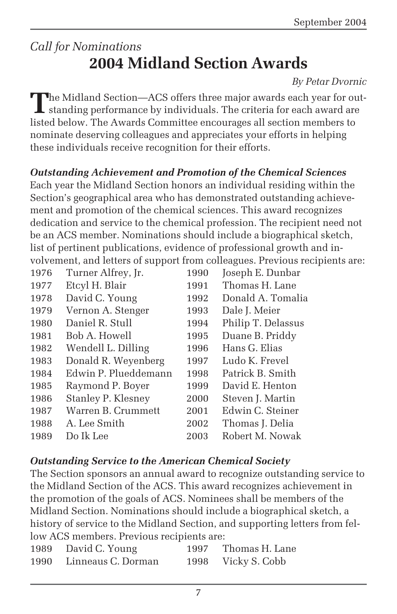### *Call for Nominations* **2004 Midland Section Awards**

#### *By Petar Dvornic*

The Midland Section—ACS offers three major awards each year for out-<br>standing performance by individuals. The criteria for each award are<br>in the standard scale in the standard scale in the standard scale in the standard sc listed below. The Awards Committee encourages all section members to nominate deserving colleagues and appreciates your efforts in helping these individuals receive recognition for their efforts.

#### *Outstanding Achievement and Promotion of the Chemical Sciences*

Each year the Midland Section honors an individual residing within the Section's geographical area who has demonstrated outstanding achievement and promotion of the chemical sciences. This award recognizes dedication and service to the chemical profession. The recipient need not be an ACS member. Nominations should include a biographical sketch, list of pertinent publications, evidence of professional growth and involvement, and letters of support from colleagues. Previous recipients are:

| 1976 | Turner Alfrey, Jr.   | 1990 | Joseph E. Dunbar   |
|------|----------------------|------|--------------------|
| 1977 | Etcyl H. Blair       | 1991 | Thomas H. Lane     |
| 1978 | David C. Young       | 1992 | Donald A. Tomalia  |
| 1979 | Vernon A. Stenger    | 1993 | Dale J. Meier      |
| 1980 | Daniel R. Stull      | 1994 | Philip T. Delassus |
| 1981 | Bob A. Howell        | 1995 | Duane B. Priddy    |
| 1982 | Wendell L. Dilling   | 1996 | Hans G. Elias      |
| 1983 | Donald R. Weyenberg  | 1997 | Ludo K. Frevel     |
| 1984 | Edwin P. Plueddemann | 1998 | Patrick B. Smith   |
| 1985 | Raymond P. Boyer     | 1999 | David E. Henton    |
| 1986 | Stanley P. Klesney   | 2000 | Steven J. Martin   |
| 1987 | Warren B. Crummett   | 2001 | Edwin C. Steiner   |
| 1988 | A. Lee Smith         | 2002 | Thomas J. Delia    |
| 1989 | Do Ik Lee            | 2003 | Robert M. Nowak    |

#### *Outstanding Service to the American Chemical Society*

The Section sponsors an annual award to recognize outstanding service to the Midland Section of the ACS. This award recognizes achievement in the promotion of the goals of ACS. Nominees shall be members of the Midland Section. Nominations should include a biographical sketch, a history of service to the Midland Section, and supporting letters from fellow ACS members. Previous recipients are:

| 1989 | David C. Young     | 1997 | Thomas H. Lane |
|------|--------------------|------|----------------|
| 1990 | Linneaus C. Dorman | 1998 | Vicky S. Cobb  |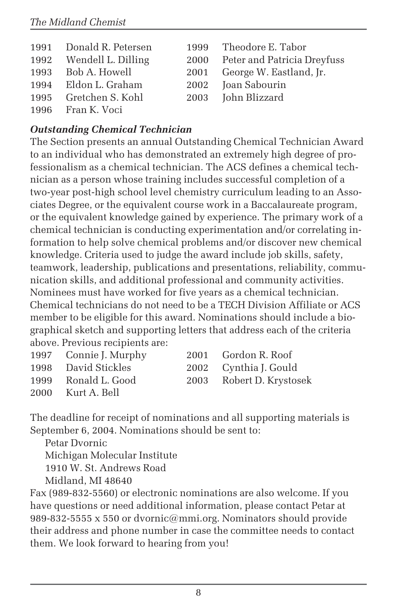| 1991 Donald R. Petersen | 1999 Theodore E. Tabor           |
|-------------------------|----------------------------------|
| 1992 Wendell L. Dilling | 2000 Peter and Patricia Dreyfuss |
| 1993 Bob A. Howell      | 2001 George W. Eastland, Jr.     |
| 1994 Eldon L. Graham    | 2002 Joan Sabourin               |
| 1995 Gretchen S. Kohl   | 2003 John Blizzard               |
| 1996 Fran K. Voci       |                                  |

#### *Outstanding Chemical Technician*

The Section presents an annual Outstanding Chemical Technician Award to an individual who has demonstrated an extremely high degree of professionalism as a chemical technician. The ACS defines a chemical technician as a person whose training includes successful completion of a two-year post-high school level chemistry curriculum leading to an Associates Degree, or the equivalent course work in a Baccalaureate program, or the equivalent knowledge gained by experience. The primary work of a chemical technician is conducting experimentation and/or correlating information to help solve chemical problems and/or discover new chemical knowledge. Criteria used to judge the award include job skills, safety, teamwork, leadership, publications and presentations, reliability, communication skills, and additional professional and community activities. Nominees must have worked for five years as a chemical technician. Chemical technicians do not need to be a TECH Division Affiliate or ACS member to be eligible for this award. Nominations should include a biographical sketch and supporting letters that address each of the criteria above. Previous recipients are:

| 1997 Connie J. Murphy | 2001 Gordon R. Roof      |
|-----------------------|--------------------------|
| 1998 David Stickles   | 2002 Cynthia J. Gould    |
| 1999 Ronald L. Good   | 2003 Robert D. Krystosek |
| 2000 Kurt A. Bell     |                          |
|                       |                          |

The deadline for receipt of nominations and all supporting materials is September 6, 2004. Nominations should be sent to:

Petar Dvornic Michigan Molecular Institute 1910 W. St. Andrews Road Midland, MI 48640

Fax (989-832-5560) or electronic nominations are also welcome. If you have questions or need additional information, please contact Petar at 989-832-5555 x 550 or dvornic@mmi.org. Nominators should provide their address and phone number in case the committee needs to contact them. We look forward to hearing from you!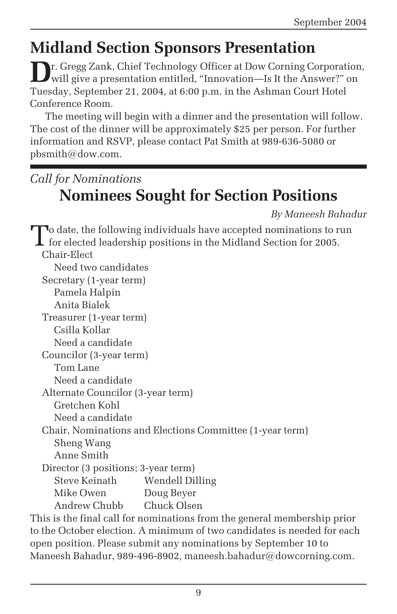## **Midland Section Sponsors Presentation**

**D**r. Gregg Zank, Chief Technology Officer at Dow Corning Corporation, will give a presentation entitled, "Innovation—Is It the Answer?" on Tuesday, September 21, 2004, at 6:00 p.m. in the Ashman Court Hotel Conference Room.

The meeting will begin with a dinner and the presentation will follow. The cost of the dinner will be approximately \$25 per person. For further information and RSVP, please contact Pat Smith at 989-636-5080 or pbsmith@dow.com.

### *Call for Nominations* **Nominees Sought for Section Positions**

*By Maneesh Bahadur*

To date, the following individuals have accepted nominations to run for elected leadership positions in the Midland Section for 2005. Chair-Elect Need two candidates Secretary (1-year term) Pamela Halpin Anita Bialek Treasurer (1-year term) Csilla Kollar Need a candidate Councilor (3-year term) Tom Lane Need a candidate Alternate Councilor (3-year term) Gretchen Kohl Need a candidate Chair, Nominations and Elections Committee (1-year term) Sheng Wang Anne Smith Director (3 positions; 3-year term) Steve Keinath Wendell Dilling Mike Owen Doug Beyer Andrew Chubb Chuck Olsen This is the final call for nominations from the general membership prior to the October election. A minimum of two candidates is needed for each

open position. Please submit any nominations by September 10 to Maneesh Bahadur, 989-496-8902, maneesh.bahadur@dowcorning.com.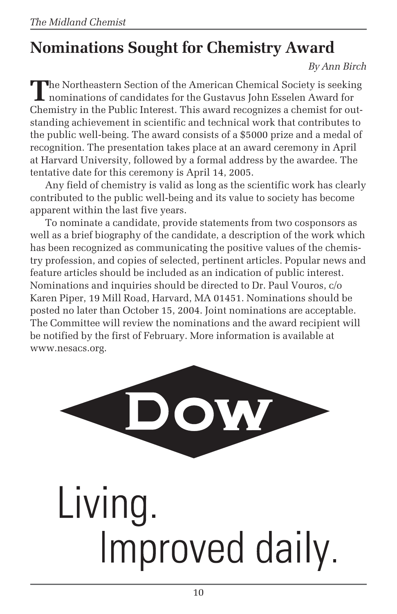# **Nominations Sought for Chemistry Award**

*By Ann Birch*

The Northeastern Section of the American Chemical Society is seeking<br>nominations of candidates for the Gustavus John Esselen Award for Chemistry in the Public Interest. This award recognizes a chemist for outstanding achievement in scientific and technical work that contributes to the public well-being. The award consists of a \$5000 prize and a medal of recognition. The presentation takes place at an award ceremony in April at Harvard University, followed by a formal address by the awardee. The tentative date for this ceremony is April 14, 2005.

Any field of chemistry is valid as long as the scientific work has clearly contributed to the public well-being and its value to society has become apparent within the last five years.

To nominate a candidate, provide statements from two cosponsors as well as a brief biography of the candidate, a description of the work which has been recognized as communicating the positive values of the chemistry profession, and copies of selected, pertinent articles. Popular news and feature articles should be included as an indication of public interest. Nominations and inquiries should be directed to Dr. Paul Vouros, c/o Karen Piper, 19 Mill Road, Harvard, MA 01451. Nominations should be posted no later than October 15, 2004. Joint nominations are acceptable. The Committee will review the nominations and the award recipient will be notified by the first of February. More information is available at www.nesacs.org.

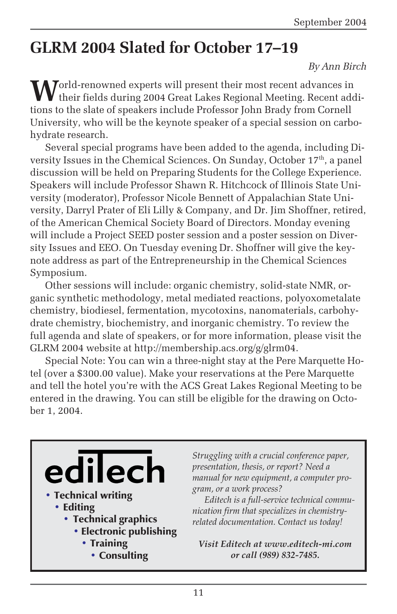### **GLRM 2004 Slated for October 17–19**

#### *By Ann Birch*

**M**orld-renowned experts will present their most recent advances in their fields during 2004 Great Lakes Regional Meeting. Recent additions to the slate of speakers include Professor John Brady from Cornell University, who will be the keynote speaker of a special session on carbohydrate research.

Several special programs have been added to the agenda, including Diversity Issues in the Chemical Sciences. On Sunday, October 17<sup>th</sup>, a panel discussion will be held on Preparing Students for the College Experience. Speakers will include Professor Shawn R. Hitchcock of Illinois State University (moderator), Professor Nicole Bennett of Appalachian State University, Darryl Prater of Eli Lilly & Company, and Dr. Jim Shoffner, retired, of the American Chemical Society Board of Directors. Monday evening will include a Project SEED poster session and a poster session on Diversity Issues and EEO. On Tuesday evening Dr. Shoffner will give the keynote address as part of the Entrepreneurship in the Chemical Sciences Symposium.

Other sessions will include: organic chemistry, solid-state NMR, organic synthetic methodology, metal mediated reactions, polyoxometalate chemistry, biodiesel, fermentation, mycotoxins, nanomaterials, carbohydrate chemistry, biochemistry, and inorganic chemistry. To review the full agenda and slate of speakers, or for more information, please visit the GLRM 2004 website at http://membership.acs.org/g/glrm04.

Special Note: You can win a three-night stay at the Pere Marquette Hotel (over a \$300.00 value). Make your reservations at the Pere Marquette and tell the hotel you're with the ACS Great Lakes Regional Meeting to be entered in the drawing. You can still be eligible for the drawing on October 1, 2004.



*Struggling with a crucial conference paper, presentation, thesis, or report? Need a manual for new equipment, a computer program, or a work process?*

*Editech is a full-service technical communication firm that specializes in chemistryrelated documentation. Contact us today!*

*Visit Editech at www.editech-mi.com or call (989) 832-7485.*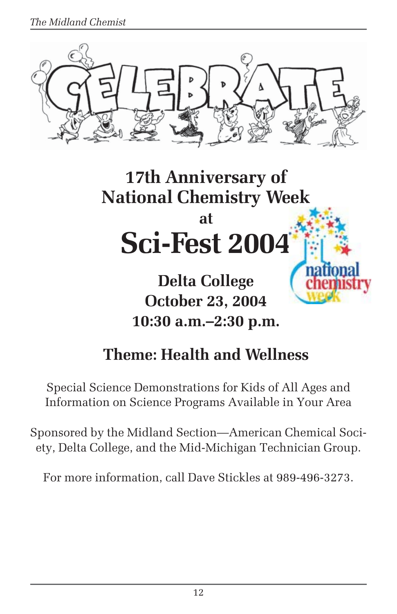*The Midland Chemist*





**October 23, 2004 10:30 a.m.–2:30 p.m.**

## **Theme: Health and Wellness**

Special Science Demonstrations for Kids of All Ages and Information on Science Programs Available in Your Area

Sponsored by the Midland Section—American Chemical Society, Delta College, and the Mid-Michigan Technician Group.

For more information, call Dave Stickles at 989-496-3273.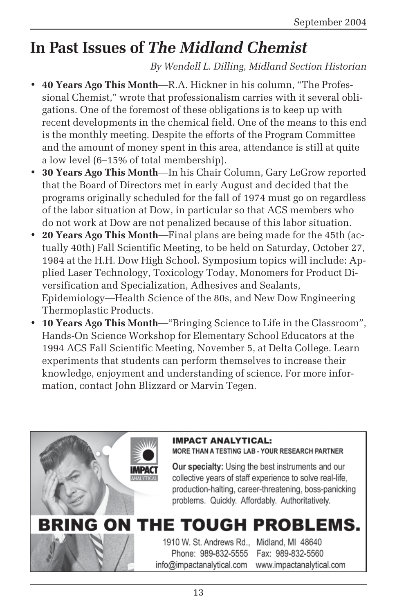## **In Past Issues of** *The Midland Chemist*

*By Wendell L. Dilling, Midland Section Historian*

- **40 Years Ago This Month**—R.A. Hickner in his column, "The Professional Chemist," wrote that professionalism carries with it several obligations. One of the foremost of these obligations is to keep up with recent developments in the chemical field. One of the means to this end is the monthly meeting. Despite the efforts of the Program Committee and the amount of money spent in this area, attendance is still at quite a low level (6–15% of total membership).
- **30 Years Ago This Month**—In his Chair Column, Gary LeGrow reported that the Board of Directors met in early August and decided that the programs originally scheduled for the fall of 1974 must go on regardless of the labor situation at Dow, in particular so that ACS members who do not work at Dow are not penalized because of this labor situation.
- **20 Years Ago This Month**—Final plans are being made for the 45th (actually 40th) Fall Scientific Meeting, to be held on Saturday, October 27, 1984 at the H.H. Dow High School. Symposium topics will include: Applied Laser Technology, Toxicology Today, Monomers for Product Diversification and Specialization, Adhesives and Sealants, Epidemiology—Health Science of the 80s, and New Dow Engineering Thermoplastic Products.
- **10 Years Ago This Month**—"Bringing Science to Life in the Classroom", Hands-On Science Workshop for Elementary School Educators at the 1994 ACS Fall Scientific Meeting, November 5, at Delta College. Learn experiments that students can perform themselves to increase their knowledge, enjoyment and understanding of science. For more information, contact John Blizzard or Marvin Tegen.

#### **IMPACT ANALYTICAL:** MORE THAN A TESTING LAB - YOUR RESEARCH PARTNER

Our specialty: Using the best instruments and our collective years of staff experience to solve real-life, production-halting, career-threatening, boss-panicking problems. Quickly. Affordably. Authoritatively.

# BRING ON THE TOUGH PROBLEMS.

1910 W. St. Andrews Rd., Midland, MI 48640 Phone: 989-832-5555 info@impactanalytical.com

Fax: 989-832-5560 www.impactanalytical.com